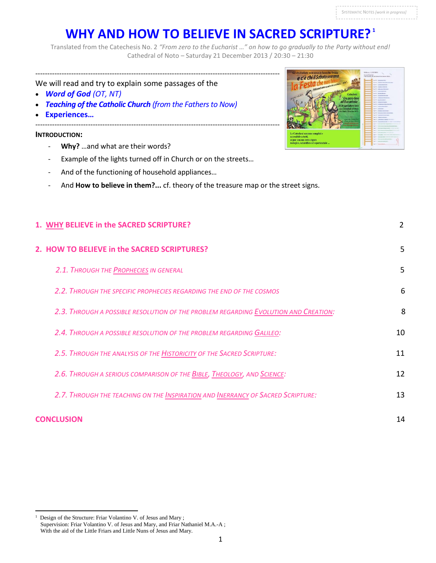# **WHY AND HOW TO BELIEVE IN SACRED SCRIPTURE? <sup>1</sup>**

Translated from the Catechesis No. 2 *"From zero to the Eucharist …" on how to go gradually to the Party without end!* Cathedral of Noto – Saturday 21 December 2013 / 20:30 – 21:30

# We will read and try to explain some passages of the

- *Word of God (OT, NT)*
- *Teaching of the Catholic Church (from the Fathers to Now)*
- **Experiences…**

# **INTRODUCTION:**

 $\overline{a}$ 1

Design of the Structure: Friar Volantino V. of Jesus and Mary ;

With the aid of the Little Friars and Little Nuns of Jesus and Mary.

Supervision: Friar Volantino V. of Jesus and Mary, and Friar Nathaniel M.A.-A ;

- **Why?** …and what are their words?
- Example of the lights turned off in Church or on the streets…
- And of the functioning of household appliances...
- And **How to believe in them?...** cf. theory of the treasure map or the street signs.

| 1. WHY BELIEVE in the SACRED SCRIPTURE?                                             | $\overline{2}$ |
|-------------------------------------------------------------------------------------|----------------|
| 2. HOW TO BELIEVE in the SACRED SCRIPTURES?                                         | 5              |
| 2.1. THROUGH THE PROPHECIES IN GENERAL                                              | 5              |
| 2.2. THROUGH THE SPECIFIC PROPHECIES REGARDING THE END OF THE COSMOS                | 6              |
| 2.3. THROUGH A POSSIBLE RESOLUTION OF THE PROBLEM REGARDING EVOLUTION AND CREATION: | 8              |
| 2.4. THROUGH A POSSIBLE RESOLUTION OF THE PROBLEM REGARDING GALILEO:                | 10             |
| 2.5. THROUGH THE ANALYSIS OF THE <b>HISTORICITY OF THE SACRED SCRIPTURE</b> :       | 11             |
| 2.6. THROUGH A SERIOUS COMPARISON OF THE BIBLE, THEOLOGY, AND SCIENCE:              | 12             |
| 2.7. THROUGH THE TEACHING ON THE INSPIRATION AND INERRANCY OF SACRED SCRIPTURE:     | 13             |
| <b>CONCLUSION</b>                                                                   | 14             |

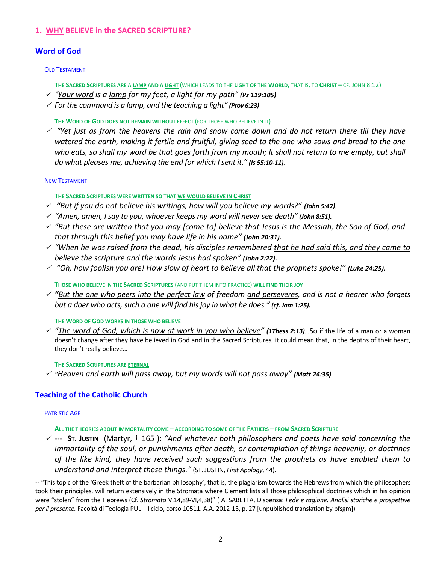# **1. WHY BELIEVE in the SACRED SCRIPTURE?**

# **Word of God**

#### OLD TESTAMENT

THE SACRED SCRIPTURES ARE A LAMP AND A LIGHT (WHICH LEADS TO THE LIGHT OF THE WORLD, THAT IS, TO CHRIST - CF. JOHN 8:12)

- *"Your word is a lamp for my feet, a light for my path" (Ps 119:105)*
- *For the command is a lamp, and the teaching a light" (Prov 6:23)*

**THE WORD OF GOD DOES NOT REMAIN WITHOUT EFFECT** (FOR THOSE WHO BELIEVE IN IT)

 *"Yet just as from the heavens the rain and snow come down and do not return there till they have watered the earth, making it fertile and fruitful, giving seed to the one who sows and bread to the one*  who eats, so shall my word be that goes forth from my mouth; It shall not return to me empty, but shall *do what pleases me, achieving the end for which I sent it." (Is 55:10-11).*

#### NEW TESTAMENT

#### **THE SACRED SCRIPTURES WERE WRITTEN SO THAT WE WOULD BELIEVE IN CHRIST**

- *"But if you do not believe his writings, how will you believe my words?" (John 5:47).*
- *"Amen, amen, I say to you, whoever keeps my word will never see death" (John 8:51).*
- *"But these are written that you may [come to] believe that Jesus is the Messiah, the Son of God, and that through this belief you may have life in his name" (John 20:31).*
- *"When he was raised from the dead, his disciples remembered that he had said this, and they came to believe the scripture and the words Jesus had spoken" (John 2:22).*
- *"Oh, how foolish you are! How slow of heart to believe all that the prophets spoke!" (Luke 24:25).*

**THOSE WHO BELIEVE IN THE SACRED SCRIPTURES** (AND PUT THEM INTO PRACTICE) **WILL FIND THEIR JOY**

 *"But the one who peers into the perfect law of freedom and perseveres, and is not a hearer who forgets but a doer who acts, such a one will find his joy in what he does." (cf. Jam 1:25).*

#### **THE WORD OF GOD WORKS IN THOSE WHO BELIEVE**

 *"The word of God, which is now at work in you who believe" (1Thess 2:13)…*So if the life of a man or a woman doesn't change after they have believed in God and in the Sacred Scriptures, it could mean that, in the depths of their heart, they don't really believe…

#### **THE SACRED SCRIPTURES ARE ETERNAL**

*"Heaven and earth will pass away, but my words will not pass away" (Matt 24:35).* 

## **Teaching of the Catholic Church**

#### PATRISTIC AGE

**ALL THE THEORIES ABOUT IMMORTALITY COME – ACCORDING TO SOME OF THE FATHERS – FROM SACRED SCRIPTURE** 

 --- **ST. JUSTIN** (Martyr, † 165 ): *"And whatever both philosophers and poets have said concerning the immortality of the soul, or punishments after death, or contemplation of things heavenly, or doctrines of the like kind, they have received such suggestions from the prophets as have enabled them to understand and interpret these things."* (ST. JUSTIN, *First Apology*, 44).

-- "This topic of the 'Greek theft of the barbarian philosophy', that is, the plagiarism towards the Hebrews from which the philosophers took their principles, will return extensively in the Stromata where Clement lists all those philosophical doctrines which in his opinion were "stolen" from the Hebrews (Cf. *Stromata* V,14,89-VI,4,38)" ( A. SABETTA, Dispensa: *Fede e ragione. Analisi storiche e prospettive per il presente.* Facoltà di Teologia PUL - II ciclo, corso 10511. A.A. 2012-13, p. 27 [unpublished translation by pfsgm])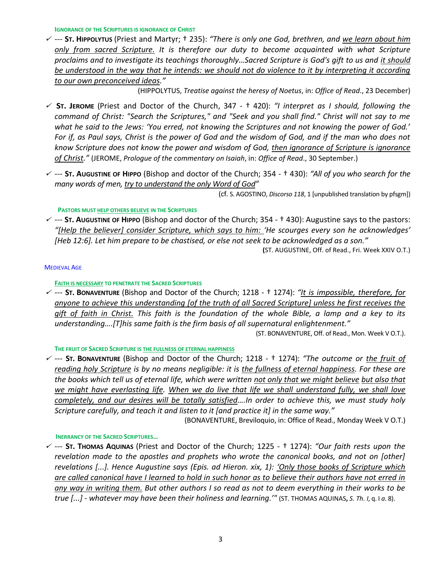**IGNORANCE OF THE SCRIPTURES IS IGNORANCE OF CHRIST** 

 --- **ST. HIPPOLYTUS** (Priest and Martyr; † 235): *"There is only one God, brethren, and we learn about him only from sacred Scripture. It is therefore our duty to become acquainted with what Scripture proclaims and to investigate its teachings thoroughly...Sacred Scripture is God's gift to us and it should* be understood in the way that he intends: we should not do violence to it by interpreting it according *to our own preconceived ideas."* 

(HIPPOLYTUS, *Treatise against the heresy of Noetus*, in: *Office of Read*., 23 December)

- **ST. JEROME** (Priest and Doctor of the Church, 347 † 420): *"I interpret as I should, following the command of Christ: "Search the Scriptures," and "Seek and you shall find." Christ will not say to me what he said to the Jews: 'You erred, not knowing the Scriptures and not knowing the power of God.' For if, as Paul says, Christ is the power of God and the wisdom of God, and if the man who does not know Scripture does not know the power and wisdom of God, then ignorance of Scripture is ignorance of Christ."* (JEROME, *Prologue of the commentary on Isaiah*, in: *Office of Read*., 30 September.)
- --- **ST. AUGUSTINE OF HIPPO** (Bishop and doctor of the Church; 354 † 430): *"All of you who search for the many words of men, try to understand the only Word of God"*

(cf. S. AGOSTINO, *Discorso 118*, 1 [unpublished translation by pfsgm])

# **PASTORS MUST HELP OTHERS BELIEVE IN THE SCRIPTURES**

 --- **ST. AUGUSTINE OF HIPPO** (Bishop and doctor of the Church; 354 - † 430): Augustine says to the pastors: *"[Help the believer] consider Scripture, which says to him: 'He scourges every son he acknowledges' [Heb 12:6]. Let him prepare to be chastised, or else not seek to be acknowledged as a son."*

**(**ST. AUGUSTINE, Off. of Read., Fri. Week XXIV O.T.)

# MEDIEVAL AGE

# **FAITH IS NECESSARY TO PENETRATE THE SACRED SCRIPTURES**

 --- **ST. BONAVENTURE** (Bishop and Doctor of the Church; 1218 - † 1274): *"It is impossible, therefore, for anyone to achieve this understanding [of the truth of all Sacred Scripture] unless he first receives the gift of faith in Christ. This faith is the foundation of the whole Bible, a lamp and a key to its understanding….[T]his same faith is the firm basis of all supernatural enlightenment."* (ST. BONAVENTURE, Off. of Read., Mon. Week V O.T.).

**THE FRUIT OF SACRED SCRIPTURE IS THE FULLNESS OF ETERNAL HAPPINESS** 

 --- **ST. BONAVENTURE** (Bishop and Doctor of the Church; 1218 - † 1274): *"The outcome or the fruit of reading holy Scripture is by no means negligible: it is the fullness of eternal happiness. For these are the books which tell us of eternal life, which were written not only that we might believe but also that we might have everlasting life. When we do live that life we shall understand fully, we shall love completely, and our desires will be totally satisfied….In order to achieve this, we must study holy Scripture carefully, and teach it and listen to it [and practice it] in the same way."*

(BONAVENTURE, Breviloquio, in: Office of Read., Monday Week V O.T.)

# **INERRANCY OF THE SACRED SCRIPTURES…**

 --- **ST. THOMAS AQUINAS** (Priest and Doctor of the Church; 1225 - † 1274): *"Our faith rests upon the revelation made to the apostles and prophets who wrote the canonical books, and not on [other] revelations [...]. Hence Augustine says (Epis. ad Hieron. xix, 1): 'Only those books of Scripture which are called canonical have I learned to hold in such honor as to believe their authors have not erred in any way in writing them. But other authors I so read as not to deem everything in their works to be true [...] - whatever may have been their holiness and learning.'"* (ST. THOMAS AQUINAS**,** *S. Th. I*, q. I *a*. 8).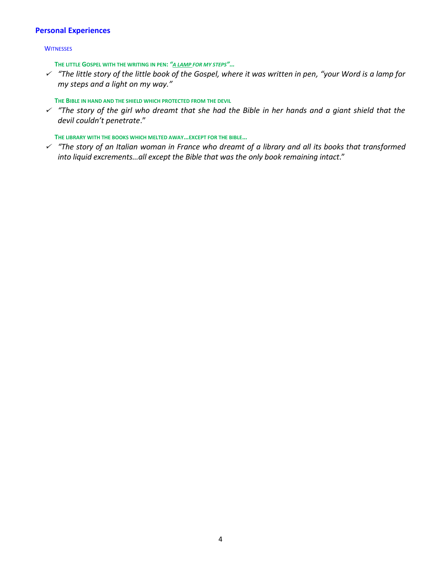# **Personal Experiences**

#### **WITNESSES**

**THE LITTLE GOSPEL WITH THE WRITING IN PEN:** *"A LAMP FOR MY STEPS"…*

 *"The little story of the little book of the Gospel, where it was written in pen, "your Word is a lamp for my steps and a light on my way."*

# **THE BIBLE IN HAND AND THE SHIELD WHICH PROTECTED FROM THE DEVIL**

 *"The story of the girl who dreamt that she had the Bible in her hands and a giant shield that the devil couldn't penetrate*."

**THE LIBRARY WITH THE BOOKS WHICH MELTED AWAY…EXCEPT FOR THE BIBLE…**

 *"The story of an Italian woman in France who dreamt of a library and all its books that transformed into liquid excrements…all except the Bible that was the only book remaining intact*."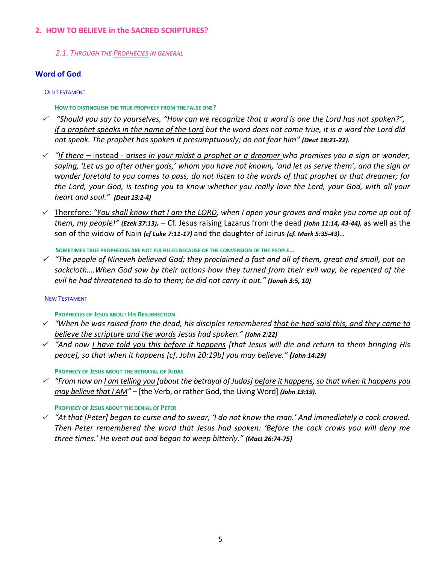# **2. HOW TO BELIEVE in the SACRED SCRIPTURES?**

*2.1. THROUGH THE PROPHECIES IN GENERAL*

# **Word of God**

# OLD TESTAMENT

# **HOW TO DISTINGUISH THE TRUE PROPHECY FROM THE FALSE ONE?**

- *"Should you say to yourselves, "How can we recognize that a word is one the Lord has not spoken?", if a prophet speaks in the name of the Lord but the word does not come true, it is a word the Lord did not speak. The prophet has spoken it presumptuously; do not fear him" (Deut 18:21-22).*
- *"If there –* instead *- arises in your midst a prophet or a dreamer who promises you a sign or wonder, saying, 'Let us go after other gods,' whom you have not known, 'and let us serve them', and the sign or wonder foretold to you comes to pass, do not listen to the words of that prophet or that dreamer; for the Lord, your God, is testing you to know whether you really love the Lord, your God, with all your heart and soul." (Deut 13:2-4)*
- Therefore: *"You shall know that I am the LORD, when I open your graves and make you come up out of them, my people!" (Ezek 37:13).* – Cf. Jesus raising Lazarus from the dead *(John 11:14, 43-44),* as well as the son of the widow of Nain *(cf Luke 7:11-17)* and the daughter of Jairus *(cf. Mark 5:35-43)…*

**SOMETIMES TRUE PROPHECIES ARE NOT FULFILLED BECAUSE OF THE CONVERSION OF THE PEOPLE…**

 *"The people of Nineveh believed God; they proclaimed a fast and all of them, great and small, put on sackcloth….When God saw by their actions how they turned from their evil way, he repented of the evil he had threatened to do to them; he did not carry it out." (Jonah 3:5, 10)* 

# NEW TESTAMENT

# **PROPHECIES OF JESUS ABOUT HIS RESURRECTION**

- *"When he was raised from the dead, his disciples remembered that he had said this, and they came to believe the scripture and the words Jesus had spoken." (John 2:22)*
- *"And now I have told you this before it happens [that Jesus will die and return to them bringing His peace], so that when it happens [cf. John 20:19b] you may believe." (John 14:29)*

**PROPHECY OF JESUS ABOUT THE BETRAYAL OF JUDAS**

 *"From now on I am telling you [about the betrayal of Judas] before it happens, so that when it happens you may believe that I AM"* – [the Verb, or rather God, the Living Word] *(John 13:19).*

# **PROPHECY OF JESUS ABOUT THE DENIAL OF PETER**

 *"At that [Peter] began to curse and to swear, 'I do not know the man.' And immediately a cock crowed. Then Peter remembered the word that Jesus had spoken: 'Before the cock crows you will deny me three times.' He went out and began to weep bitterly." (Matt 26:74-75)*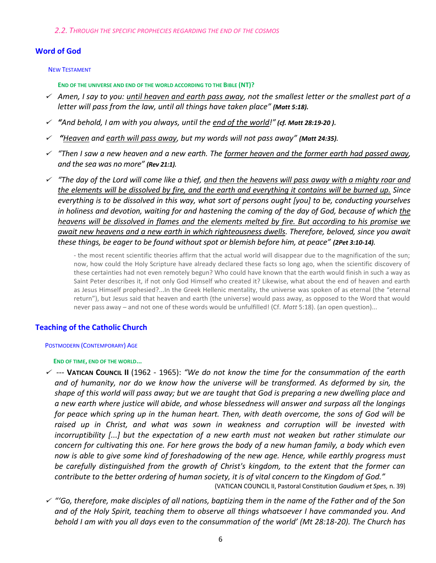# **Word of God**

#### NEW TESTAMENT

**END OF THE UNIVERSE AND END OF THE WORLD ACCORDING TO THE BIBLE (NT)?**

- *Amen, I say to you: until heaven and earth pass away, not the smallest letter or the smallest part of a letter will pass from the law, until all things have taken place" (Matt 5:18).*
- *"And behold, I am with you always, until the end of the world!" (cf. Matt 28:19-20 ).*
- ✓ *"Heaven and earth will pass away, but my words will not pass away" (Matt 24:35).*
- *"Then I saw a new heaven and a new earth. The former heaven and the former earth had passed away, and the sea was no more" (Rev 21:1).*
- *"The day of the Lord will come like a thief, and then the heavens will pass away with a mighty roar and the elements will be dissolved by fire, and the earth and everything it contains will be burned up. Since everything is to be dissolved in this way, what sort of persons ought [you] to be, conducting yourselves in holiness and devotion, waiting for and hastening the coming of the day of God, because of which the heavens will be dissolved in flames and the elements melted by fire. But according to his promise we await new heavens and a new earth in which righteousness dwells. Therefore, beloved, since you await these things, be eager to be found without spot or blemish before him, at peace" (2Pet 3:10-14).*

- the most recent scientific theories affirm that the actual world will disappear due to the magnification of the sun; now, how could the Holy Scripture have already declared these facts so long ago, when the scientific discovery of these certainties had not even remotely begun? Who could have known that the earth would finish in such a way as Saint Peter describes it, if not only God Himself who created it? Likewise, what about the end of heaven and earth as Jesus Himself prophesied?...In the Greek Hellenic mentality, the universe was spoken of as eternal (the "eternal return"), but Jesus said that heaven and earth (the universe) would pass away, as opposed to the Word that would never pass away – and not one of these words would be unfulfilled! (Cf. *Matt* 5:18). (an open question)...

# **Teaching of the Catholic Church**

#### POSTMODERN (CONTEMPORARY) AGE

#### **END OF TIME, END OF THE WORLD...**

 *---* **VATICAN COUNCIL II** (1962 - 1965): *"We do not know the time for the consummation of the earth and of humanity, nor do we know how the universe will be transformed. As deformed by sin, the shape of this world will pass away; but we are taught that God is preparing a new dwelling place and a new earth where justice will abide, and whose blessedness will answer and surpass all the longings for peace which spring up in the human heart. Then, with death overcome, the sons of God will be raised up in Christ, and what was sown in weakness and corruption will be invested with incorruptibility [...] but the expectation of a new earth must not weaken but rather stimulate our concern for cultivating this one. For here grows the body of a new human family, a body which even now is able to give some kind of foreshadowing of the new age. Hence, while earthly progress must be carefully distinguished from the growth of Christ's kingdom, to the extent that the former can contribute to the better ordering of human society, it is of vital concern to the Kingdom of God."*

(VATICAN COUNCIL II, Pastoral Constitution *Gaudium et Spes,* n. 39)

 *"'Go, therefore, make disciples of all nations, baptizing them in the name of the Father and of the Son and of the Holy Spirit, teaching them to observe all things whatsoever I have commanded you. And behold I am with you all days even to the consummation of the world' (Mt 28:18-20). The Church has*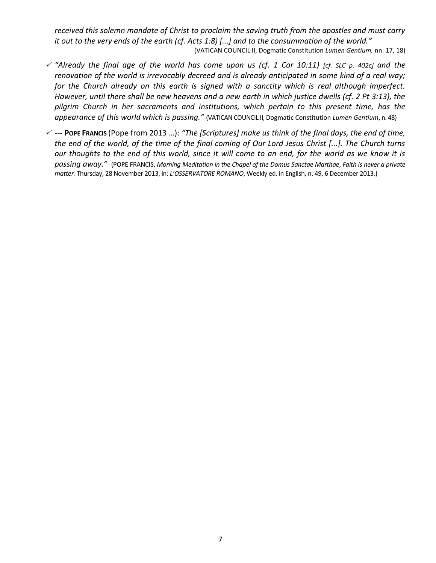*received this solemn mandate of Christ to proclaim the saving truth from the apostles and must carry it out to the very ends of the earth (cf. Acts 1:8) [...] and to the consummation of the world."*  (VATICAN COUNCIL II, Dogmatic Constitution *Lumen Gentium,* nn. 17, 18)

- *"Already the final age of the world has come upon us (cf. 1 Cor 10:11) [cf. SLC p. 402c] and the renovation of the world is irrevocably decreed and is already anticipated in some kind of a real way; for the Church already on this earth is signed with a sanctity which is real although imperfect. However, until there shall be new heavens and a new earth in which justice dwells (cf. 2 Pt 3:13), the pilgrim Church in her sacraments and institutions, which pertain to this present time, has the appearance of this world which is passing."* (VATICAN COUNCIL II, Dogmatic Constitution *Lumen Gentium*, n. 48)
- *---* **POPE FRANCIS** (Pope from 2013 …): *"The [Scriptures] make us think of the final days, the end of time, the end of the world, of the time of the final coming of Our Lord Jesus Christ [...]. The Church turns our thoughts to the end of this world, since it will come to an end, for the world as we know it is passing away."* (POPE FRANCIS, *Morning Meditation in the Chapel of the Domus Sanctae Marthae*, *Faith is never a private matter.* Thursday, 28 November 2013, in: *L'OSSERVATORE ROMANO*, Weekly ed. in English, n. 49, 6 December 2013.)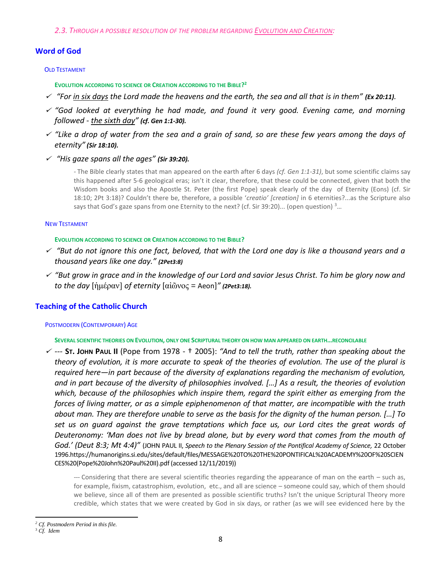*2.3. THROUGH A POSSIBLE RESOLUTION OF THE PROBLEM REGARDING EVOLUTION AND CREATION:*

# **Word of God**

# OLD TESTAMENT

**EVOLUTION ACCORDING TO SCIENCE OR CREATION ACCORDING TO THE BIBLE? 2**

- *"For in six days the Lord made the heavens and the earth, the sea and all that is in them" (Ex 20:11).*
- *"God looked at everything he had made, and found it very good. Evening came, and morning followed - the sixth day" (cf. Gen 1:1-30).*
- *"Like a drop of water from the sea and a grain of sand, so are these few years among the days of eternity" (Sir 18:10).*
- *"His gaze spans all the ages" (Sir 39:20).*

*-* The Bible clearly states that man appeared on the earth after 6 days *(cf. Gen 1:1-31)*, but some scientific claims say this happened after 5-6 geological eras; isn't it clear, therefore, that these could be connected, given that both the Wisdom books and also the Apostle St. Peter (the first Pope) speak clearly of the day of Eternity (Eons) (cf. Sir 18:10; 2Pt 3:18)? Couldn't there be, therefore, a possible '*creatio' [creation]* in 6 eternities?...as the Scripture also says that God's gaze spans from one Eternity to the next? (cf. Sir 39:20)... (open question) 3...

## NEW TESTAMENT

## **EVOLUTION ACCORDING TO SCIENCE OR CREATION ACCORDING TO THE BIBLE?**

- *"But do not ignore this one fact, beloved, that with the Lord one day is like a thousand years and a thousand years like one day." (2Pet3:8)*
- *"But grow in grace and in the knowledge of our Lord and savior Jesus Christ. To him be glory now and to the day* [ἡμέραν] *of eternity* [αἰῶνος = Aeon]*" (2Pet3:18).*

# **Teaching of the Catholic Church**

# POSTMODERN (CONTEMPORARY) AGE

**SEVERAL SCIENTIFIC THEORIES ON EVOLUTION, ONLY ONE SCRIPTURAL THEORY ON HOW MAN APPEARED ON EARTH…RECONCILABLE**

 *---* **ST. JOHN PAUL II** (Pope from 1978 - † 2005): *"And to tell the truth, rather than speaking about the theory of evolution, it is more accurate to speak of the theories of evolution. The use of the plural is required here—in part because of the diversity of explanations regarding the mechanism of evolution, and in part because of the diversity of philosophies involved. […] As a result, the theories of evolution which, because of the philosophies which inspire them, regard the spirit either as emerging from the forces of living matter, or as a simple epiphenomenon of that matter, are incompatible with the truth about man. They are therefore unable to serve as the basis for the dignity of the human person. […] To set us on guard against the grave temptations which face us, our Lord cites the great words of Deuteronomy: 'Man does not live by bread alone, but by every word that comes from the mouth of God.' (Deut 8:3; Mt 4:4)"* (JOHN PAUL II, *Speech to the Plenary Session of the Pontifical Academy of Science,* 22 October 199[6.https://humanorigins.si.edu/sites/default/files/MESSAGE%20TO%20THE%20PONTIFICAL%20ACADEMY%20OF%20SCIEN](https://humanorigins.si.edu/sites/default/files/MESSAGE%20TO%20THE%20PONTIFICAL%20ACADEMY%20OF%20SCIENCES%20(Pope%20John%20Paul%20II).pdf) [CES%20\(Pope%20John%20Paul%20II\).pdf](https://humanorigins.si.edu/sites/default/files/MESSAGE%20TO%20THE%20PONTIFICAL%20ACADEMY%20OF%20SCIENCES%20(Pope%20John%20Paul%20II).pdf) (accessed 12/11/2019))

*---* Considering that there are several scientific theories regarding the appearance of man on the earth – such as, for example, fixism, catastrophism, evolution, etc., and all are science – someone could say, which of them should we believe, since all of them are presented as possible scientific truths? Isn't the unique Scriptural Theory more credible, which states that we were created by God in six days, or rather (as we will see evidenced here by the

 $\ddot{\phantom{a}}$ 

*<sup>2</sup> Cf. Postmodern Period in this file.*

<sup>3</sup> *Cf. Idem*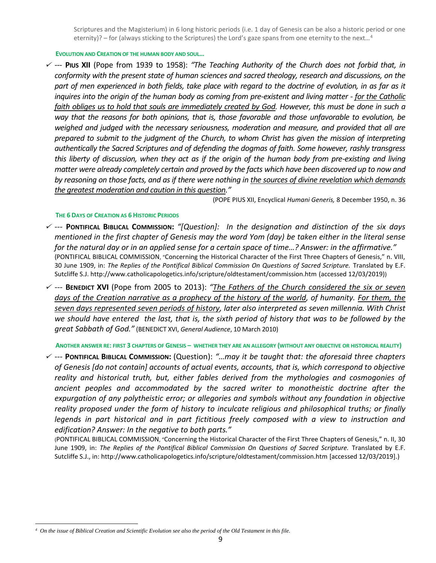Scriptures and the Magisterium) in 6 long historic periods (i.e. 1 day of Genesis can be also a historic period or one eternity)? – for (always sticking to the Scriptures) the Lord's gaze spans from one eternity to the next...<sup>4</sup>

**EVOLUTION AND CREATION OF THE HUMAN BODY AND SOUL…**

 --- **PIUS XII** (Pope from 1939 to 1958): *"The Teaching Authority of the Church does not forbid that, in conformity with the present state of human sciences and sacred theology, research and discussions, on the part of men experienced in both fields, take place with regard to the doctrine of evolution, in as far as it inquires into the origin of the human body as coming from pre-existent and living matter - for the Catholic faith obliges us to hold that souls are immediately created by God. However, this must be done in such a way that the reasons for both opinions, that is, those favorable and those unfavorable to evolution, be weighed and judged with the necessary seriousness, moderation and measure, and provided that all are prepared to submit to the judgment of the Church, to whom Christ has given the mission of interpreting authentically the Sacred Scriptures and of defending the dogmas of faith. Some however, rashly transgress this liberty of discussion, when they act as if the origin of the human body from pre-existing and living matter were already completely certain and proved by the facts which have been discovered up to now and by reasoning on those facts, and as if there were nothing in the sources of divine revelation which demands the greatest moderation and caution in this question."*

(POPE PIUS XII, Encyclical *Humani Generis,* 8 December 1950, n. 36

#### **THE 6 DAYS OF CREATION AS 6 HISTORIC PERIODS**

- --- **PONTIFICAL BIBLICAL COMMISSION:** *"[Question]: In the designation and distinction of the six days mentioned in the first chapter of Genesis may the word Yom (day) be taken either in the literal sense for the natural day or in an applied sense for a certain space of time…? Answer: in the affirmative."*  (PONTIFICAL BIBLICAL COMMISSION, "Concerning the Historical Character of the First Three Chapters of Genesis," n. VIII, 30 June 1909, in: *The Replies of the Pontifical Biblical Commission On Questions of Sacred Scripture.* Translated by E.F. Sutcliffe S.J. http://www.catholicapologetics.info/scripture/oldtestament/commission.htm (accessed 12/03/2019))
- *---* **BENEDICT XVI** (Pope from 2005 to 2013): *"The Fathers of the Church considered the six or seven days of the Creation narrative as a prophecy of the history of the world, of humanity. For them, the seven days represented seven periods of history, later also interpreted as seven millennia. With Christ we should have entered the last, that is, the sixth period of history that was to be followed by the great Sabbath of God."* (BENEDICT XVI, *General Audience*, 10 March 2010)

**ANOTHER ANSWER RE: FIRST 3 CHAPTERS OF GENESIS – WHETHER THEY ARE AN ALLEGORY (WITHOUT ANY OBJECTIVE OR HISTORICAL REALITY)**

 --- **PONTIFICAL BIBLICAL COMMISSION:** (Question): *"…may it be taught that: the aforesaid three chapters of Genesis [do not contain] accounts of actual events, accounts, that is, which correspond to objective reality and historical truth, but, either fables derived from the mythologies and cosmogonies of ancient peoples and accommodated by the sacred writer to monotheistic doctrine after the expurgation of any polytheistic error; or allegories and symbols without any foundation in objective reality proposed under the form of history to inculcate religious and philosophical truths; or finally legends in part historical and in part fictitious freely composed with a view to instruction and edification? Answer: In the negative to both parts."* 

(PONTIFICAL BIBLICAL COMMISSION, "Concerning the Historical Character of the First Three Chapters of Genesis," n. II, 30 June 1909, in: The Replies of the Pontifical Biblical Commission On Questions of Sacred Scripture. Translated by E.F. Sutcliffe S.J., in:<http://www.catholicapologetics.info/scripture/oldtestament/commission.htm> [accessed 12/03/2019].)

 $\overline{a}$ *4 On the issue of Biblical Creation and Scientific Evolution see also the period of the Old Testament in this file.*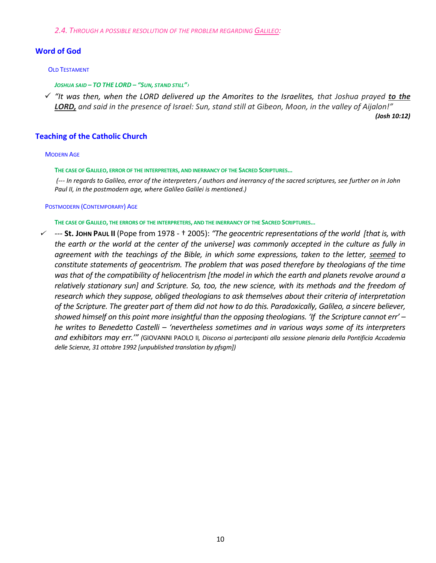*2.4. THROUGH A POSSIBLE RESOLUTION OF THE PROBLEM REGARDING GALILEO:*

# **Word of God**

#### OLD TESTAMENT

*JOSHUA SAID – TO THE LORD – "SUN, STAND STILL"›*

 *"It was then, when the LORD delivered up the Amorites to the Israelites, that Joshua prayed to the*  **LORD,** and said in the presence of Israel: Sun, stand still at Gibeon, Moon, in the valley of Aijalon!" *(Josh 10:12)*

# **Teaching of the Catholic Church**

#### MODERN AGE

**THE CASE OF GALILEO, ERROR OF THE INTERPRETERS, AND INERRANCY OF THE SACRED SCRIPTURES…**

*(--- In regards to Galileo, error of the interpreters / authors and inerrancy of the sacred scriptures, see further on in John Paul II, in the postmodern age, where Galileo Galilei is mentioned.)*

#### POSTMODERN (CONTEMPORARY) AGE

**THE CASE OF GALILEO, THE ERRORS OF THE INTERPRETERS, AND THE INERRANCY OF THE SACRED SCRIPTURES…**

 *---* **St. JOHN PAUL II** (Pope from 1978 - † 2005): *"The geocentric representations of the world [that is, with the earth or the world at the center of the universe] was commonly accepted in the culture as fully in agreement with the teachings of the Bible, in which some expressions, taken to the letter, seemed to constitute statements of geocentrism. The problem that was posed therefore by theologians of the time was that of the compatibility of heliocentrism [the model in which the earth and planets revolve around a relatively stationary sun] and Scripture. So, too, the new science, with its methods and the freedom of research which they suppose, obliged theologians to ask themselves about their criteria of interpretation of the Scripture. The greater part of them did not how to do this. Paradoxically, Galileo, a sincere believer, showed himself on this point more insightful than the opposing theologians. 'If the Scripture cannot err' – he writes to Benedetto Castelli – 'nevertheless sometimes and in various ways some of its interpreters and exhibitors may err.'" (*GIOVANNI PAOLO II*, Discorso ai partecipanti alla sessione plenaria della Pontificia Accademia delle Scienze, 31 ottobre 1992 [unpublished translation by pfsgm])*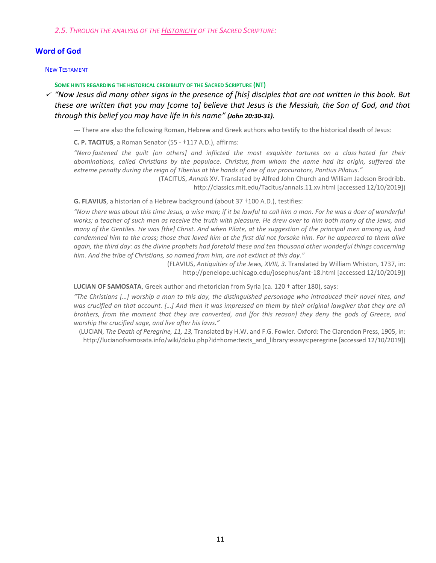*2.5. THROUGH THE ANALYSIS OF THE HISTORICITY OF THE SACRED SCRIPTURE:*

# **Word of God**

#### NEW TESTAMENT

**SOME HINTS REGARDING THE HISTORICAL CREDIBILITY OF THE SACRED SCRIPTURE (NT)**

 *"Now Jesus did many other signs in the presence of [his] disciples that are not written in this book. But these are written that you may [come to] believe that Jesus is the Messiah, the Son of God, and that through this belief you may have life in his name" (John 20:30-31).*

--- There are also the following Roman, Hebrew and Greek authors who testify to the historical death of Jesus:

**C. P. TACITUS**, a Roman Senator (55 - †117 A.D.), affirms:

*"Nero fastened the guilt [on others] and inflicted the most exquisite tortures on a class hated for their abominations, called Christians by the populace. Christus, from whom the name had its origin, suffered the extreme penalty during the reign of Tiberius at the hands of one of our procurators, Pontius Pilatus."*

> (TACITUS, *Annals* XV. Translated by Alfred John Church and William Jackson Brodribb. <http://classics.mit.edu/Tacitus/annals.11.xv.html> [accessed 12/10/2019])

**G. FLAVIUS**, a historian of a Hebrew background (about 37 †100 A.D.), testifies:

*"Now there was about this time Jesus, a wise man; if it be lawful to call him a man. For he was a doer of wonderful works; a teacher of such men as receive the truth with pleasure. He drew over to him both many of the Jews, and many of the Gentiles. He was [the] Christ. And when Pilate, at the suggestion of the principal men among us, had condemned him to the cross; those that loved him at the first did not forsake him. For he appeared to them alive again, the third day: as the divine prophets had foretold these and ten thousand other wonderful things concerning him. And the tribe of Christians, so named from him, are not extinct at this day."*

> (FLAVIUS, *Antiquities of the Jews, XVIII, 3.* Translated by William Whiston, 1737, in: <http://penelope.uchicago.edu/josephus/ant-18.html> [accessed 12/10/2019])

**LUCIAN OF SAMOSATA**, Greek author and rhetorician from Syria (ca. 120 † after 180), says:

*"The Christians […] worship a man to this day, the distinguished personage who introduced their novel rites, and was crucified on that account. […] And then it was impressed on them by their original lawgiver that they are all brothers, from the moment that they are converted, and [for this reason] they deny the gods of Greece, and worship the crucified sage, and live after his laws."*

(LUCIAN, *The Death of Peregrine, 11, 13,* Translated by H.W. and F.G. Fowler. Oxford: The Clarendon Press, 1905, in: [http://lucianofsamosata.info/wiki/doku.php?id=home:texts\\_and\\_library:essays:peregrine](http://lucianofsamosata.info/wiki/doku.php?id=home:texts_and_library:essays:peregrine) [accessed 12/10/2019])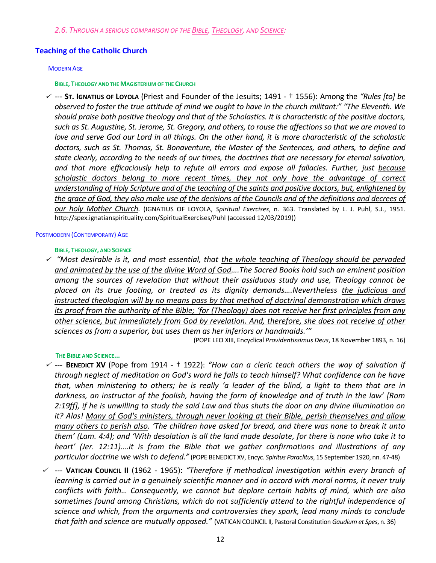# **Teaching of the Catholic Church**

#### MODERN AGE

#### **BIBLE, THEOLOGY AND THE MAGISTERIUM OF THE CHURCH**

 --- **ST. IGNATIUS OF LOYOLA** (Priest and Founder of the Jesuits; 1491 - † 1556): Among the *"Rules [to] be observed to foster the true attitude of mind we ought to have in the church militant:" "The Eleventh. We should praise both positive theology and that of the Scholastics. It is characteristic of the positive doctors, such as St. Augustine, St. Jerome, St. Gregory, and others, to rouse the affections so that we are moved to love and serve God our Lord in all things. On the other hand, it is more characteristic of the scholastic doctors, such as St. Thomas, St. Bonaventure, the Master of the Sentences, and others, to define and state clearly, according to the needs of our times, the doctrines that are necessary for eternal salvation, and that more efficaciously help to refute all errors and expose all fallacies. Further, just because scholastic doctors belong to more recent times, they not only have the advantage of correct understanding of Holy Scripture and of the teaching of the saints and positive doctors, but, enlightened by the grace of God, they also make use of the decisions of the Councils and of the definitions and decrees of our holy Mother Church.* (IGNATIUS OF LOYOLA, *Spiritual Exercises*, n. 363. Translated by L. J. Puhl, S.J., 1951. <http://spex.ignatianspirituality.com/SpiritualExercises/Puhl> (accessed 12/03/2019))

#### POSTMODERN (CONTEMPORARY) AGE

## **BIBLE, THEOLOGY, AND SCIENCE**

 *"Most desirable is it, and most essential, that the whole teaching of Theology should be pervaded and animated by the use of the divine Word of God….The Sacred Books hold such an eminent position among the sources of revelation that without their assiduous study and use, Theology cannot be placed on its true footing, or treated as its dignity demands….Nevertheless the judicious and instructed theologian will by no means pass by that method of doctrinal demonstration which draws its proof from the authority of the Bible; 'for (Theology) does not receive her first principles from any other science, but immediately from God by revelation. And, therefore, she does not receive of other sciences as from a superior, but uses them as her inferiors or handmaids.'"* 

(POPE LEO XIII, Encyclical *Providentissimus Deus*, 18 November 1893, n. 16)

## **THE BIBLE AND SCIENCE...**

- --- **BENEDICT XV** (Pope from 1914 † 1922): *"How can a cleric teach others the way of salvation if through neglect of meditation on God's word he fails to teach himself? What confidence can he have that, when ministering to others; he is really 'a leader of the blind, a light to them that are in darkness, an instructor of the foolish, having the form of knowledge and of truth in the law' [Rom 2:19ff], if he is unwilling to study the said Law and thus shuts the door on any divine illumination on it? Alas! Many of God's ministers, through never looking at their Bible, perish themselves and allow many others to perish also. 'The children have asked for bread, and there was none to break it unto them' (Lam. 4:4); and 'With desolation is all the land made desolate, for there is none who take it to heart' (Jer. 12:11)….it is from the Bible that we gather confirmations and illustrations of any particular doctrine we wish to defend."* (POPE BENEDICT XV, Encyc. *Spiritus Paraclitus*, 15 September 1920, nn. 47-48)
- *---* **VATICAN COUNCIL II** (1962 1965): *"Therefore if methodical investigation within every branch of learning is carried out in a genuinely scientific manner and in accord with moral norms, it never truly conflicts with faith… Consequently, we cannot but deplore certain habits of mind, which are also sometimes found among Christians, which do not sufficiently attend to the rightful independence of science and which, from the arguments and controversies they spark, lead many minds to conclude that faith and science are mutually opposed."* (VATICAN COUNCIL II, Pastoral Constitution *Gaudium et Spes*, n. 36)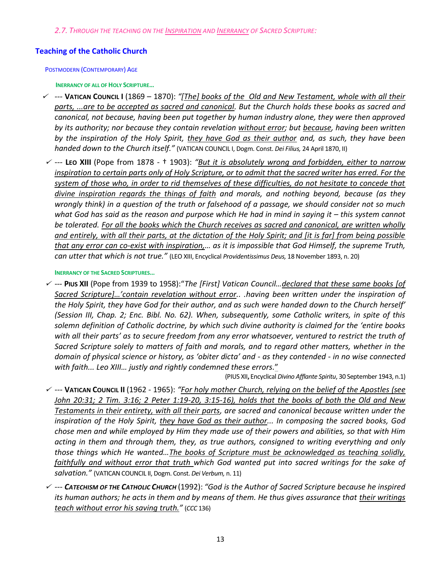*2.7. THROUGH THE TEACHING ON THE INSPIRATION AND INERRANCY OF SACRED SCRIPTURE:*

# **Teaching of the Catholic Church**

POSTMODERN (CONTEMPORARY) AGE

**INERRANCY OF ALL OF HOLY SCRIPTURE…**

- *---* **VATICAN COUNCIL I** (1869 1870): *"[The] books of the Old and New Testament, whole with all their parts, ...are to be accepted as sacred and canonical. But the Church holds these books as sacred and canonical, not because, having been put together by human industry alone, they were then approved by its authority; nor because they contain revelation without error; but because, having been written by the inspiration of the Holy Spirit, they have God as their author and, as such, they have been handed down to the Church itself."* (VATICAN COUNCIL I, Dogm. Const. *Dei Filius,* 24 April 1870, II)
- *---* **LEO XIII** (Pope from 1878 † 1903): *"But it is absolutely wrong and forbidden, either to narrow inspiration to certain parts only of Holy Scripture, or to admit that the sacred writer has erred. For the system of those who, in order to rid themselves of these difficulties, do not hesitate to concede that divine inspiration regards the things of faith and morals, and nothing beyond, because (as they wrongly think) in a question of the truth or falsehood of a passage, we should consider not so much what God has said as the reason and purpose which He had in mind in saying it – this system cannot be tolerated. For all the books which the Church receives as sacred and canonical, are written wholly and entirely, with all their parts, at the dictation of the Holy Spirit; and [it is far] from being possible that any error can co-exist with inspiration,… as it is impossible that God Himself, the supreme Truth, can utter that which is not true."* (LEO XIII, Encyclical *Providentissimus Deus,* 18 November 1893, n. 20)

**INERRANCY OF THE SACRED SCRIPTURES…**

 --- **PIUS XII** (Pope from 1939 to 1958):"*The [First] Vatican Council…declared that these same books [of Sacred Scripture]…'contain revelation without error.. .having been written under the inspiration of the Holy Spirit, they have God for their author, and as such were handed down to the Church herself' (Session III, Chap. 2; Enc. Bibl. No. 62). When, subsequently, some Catholic writers, in spite of this solemn definition of Catholic doctrine, by which such divine authority is claimed for the 'entire books with all their parts' as to secure freedom from any error whatsoever, ventured to restrict the truth of Sacred Scripture solely to matters of faith and morals, and to regard other matters, whether in the domain of physical science or history, as 'obiter dicta' and - as they contended - in no wise connected with faith... Leo XIII… justly and rightly condemned these errors.*"

(PIUS XII**,** Encyclical *Divino Afflante Spiritu*, 30 September 1943, n.1)

- *---* **VATICAN COUNCIL II** (1962 1965): *"For holy mother Church, relying on the belief of the Apostles (see John 20:31; 2 Tim. 3:16; 2 Peter 1:19-20, 3:15-16), holds that the books of both the Old and New Testaments in their entirety, with all their parts, are sacred and canonical because written under the inspiration of the Holy Spirit, they have God as their author... In composing the sacred books, God chose men and while employed by Him they made use of their powers and abilities, so that with Him acting in them and through them, they, as true authors, consigned to writing everything and only those things which He wanted…The books of Scripture must be acknowledged as teaching solidly, faithfully and without error that truth which God wanted put into sacred writings for the sake of salvation."* (VATICAN COUNCIL II, Dogm. Const. *Dei Verbum,* n. 11)
- *--- CATECHISM OF THE CATHOLIC CHURCH* (1992): *"God is the Author of Sacred Scripture because he inspired its human authors; he acts in them and by means of them. He thus gives assurance that their writings teach without error his saving truth."* (*CCC* 136)